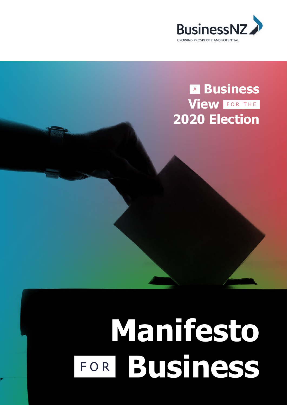

# <sup>A</sup> **Business View** FOR THE **2020 Election**

# **Manifesto** FOR **Business**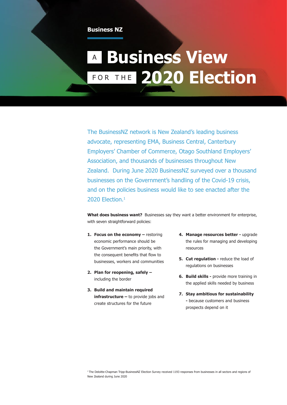#### **Business NZ**

# <sup>A</sup> **Business View**  FOR THE **2020 Election**

The BusinessNZ network is New Zealand's leading business advocate, representing EMA, Business Central, Canterbury Employers' Chamber of Commerce, Otago Southland Employers' Association, and thousands of businesses throughout New Zealand. During June 2020 BusinessNZ surveyed over a thousand businesses on the Government's handling of the Covid-19 crisis, and on the policies business would like to see enacted after the 2020 Flection.<sup>1</sup>

**What does business want?** Businesses say they want a better environment for enterprise, with seven straightforward policies:

- **1. Focus on the economy restoring** economic performance should be the Government's main priority, with the consequent benefits that flow to businesses, workers and communities
- **2. Plan for reopening, safely**  including the border
- **3. Build and maintain required infrastructure –** to provide jobs and create structures for the future
- **4. Manage resources better** upgrade the rules for managing and developing resources
- **5.** Cut regulation reduce the load of regulations on businesses
- **6. Build skills -** provide more training in the applied skills needed by business
- **7. Stay ambitious for sustainability -** because customers and business prospects depend on it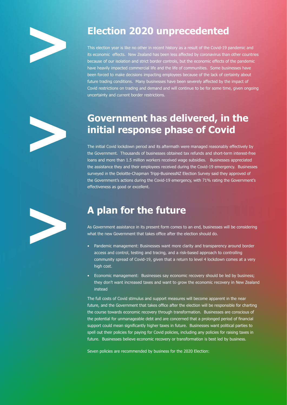

# **Election 2020 unprecedented**

This election year is like no other in recent history as a result of the Covid-19 pandemic and its economic effects. New Zealand has been less affected by coronavirus than other countries because of our isolation and strict border controls, but the economic effects of the pandemic have heavily impacted commercial life and the life of communities. Some businesses have been forced to make decisions impacting employees because of the lack of certainty about future trading conditions. Many businesses have been severely affected by the impact of Covid restrictions on trading and demand and will continue to be for some time, given ongoing uncertainty and current border restrictions.



### **Government has delivered, in the initial response phase of Covid**

The initial Covid lockdown period and its aftermath were managed reasonably effectively by the Government. Thousands of businesses obtained tax refunds and short-term interest-free loans and more than 1.5 million workers received wage subsidies. Businesses appreciated the assistance they and their employees received during the Covid-19 emergency. Businesses surveyed in the Deloitte-Chapman Tripp-BusinessNZ Election Survey said they approved of the Government's actions during the Covid-19 emergency, with 71% rating the Government's effectiveness as good or excellent.



# **A plan for the future**

As Government assistance in its present form comes to an end, businesses will be considering what the new Government that takes office after the election should do.

- Pandemic management: Businesses want more clarity and transparency around border access and control, testing and tracing, and a risk-based approach to controlling community spread of Covid-19, given that a return to level 4 lockdown comes at a very high cost.
- Economic management: Businesses say economic recovery should be led by business; they don't want increased taxes and want to grow the economic recovery in New Zealand instead

The full costs of Covid stimulus and support measures will become apparent in the near future, and the Government that takes office after the election will be responsible for charting the course towards economic recovery through transformation. Businesses are conscious of the potential for unmanageable debt and are concerned that a prolonged period of financial support could mean significantly higher taxes in future. Businesses want political parties to spell out their policies for paying for Covid policies, including any policies for raising taxes in future. Businesses believe economic recovery or transformation is best led by business.

Seven policies are recommended by business for the 2020 Election: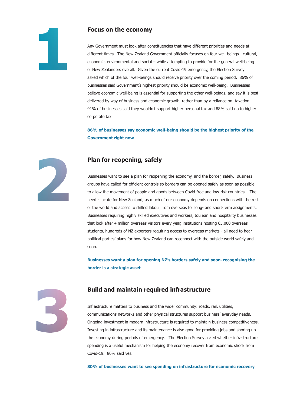#### **Focus on the economy**

Any Government must look after constituencies that have different priorities and needs at different times. The New Zealand Government officially focuses on four well-beings - cultural, economic, environmental and social – while attempting to provide for the general well-being of New Zealanders overall. Given the current Covid-19 emergency, the Election Survey asked which of the four well-beings should receive priority over the coming period. 86% of businesses said Government's highest priority should be economic well-being. Businesses believe economic well-being is essential for supporting the other well-beings, and say it is best delivered by way of business and economic growth, rather than by a reliance on taxation - 91% of businesses said they wouldn't support higher personal tax and 88% said no to higher corporate tax.

**86% of businesses say economic well-being should be the highest priority of the Government right now** 

#### **Plan for reopening, safely**

Businesses want to see a plan for reopening the economy, and the border, safely. Business groups have called for efficient controls so borders can be opened safely as soon as possible to allow the movement of people and goods between Covid-free and low-risk countries. The need is acute for New Zealand, as much of our economy depends on connections with the rest of the world and access to skilled labour from overseas for long- and short-term assignments. Businesses requiring highly skilled executives and workers, tourism and hospitality businesses that look after 4 million overseas visitors every year, institutions hosting 65,000 overseas students, hundreds of NZ exporters requiring access to overseas markets - all need to hear political parties' plans for how New Zealand can reconnect with the outside world safely and soon.

**Businesses want a plan for opening NZ's borders safely and soon, recognising the border is a strategic asset**



#### **Build and maintain required infrastructure**

Infrastructure matters to business and the wider community: roads, rail, utilities, communications networks and other physical structures support business' everyday needs. Ongoing investment in modern infrastructure is required to maintain business competitiveness. Investing in infrastructure and its maintenance is also good for providing jobs and shoring up the economy during periods of emergency. The Election Survey asked whether infrastructure spending is a useful mechanism for helping the economy recover from economic shock from Covid-19. 80% said yes.

**80% of businesses want to see spending on infrastructure for economic recovery**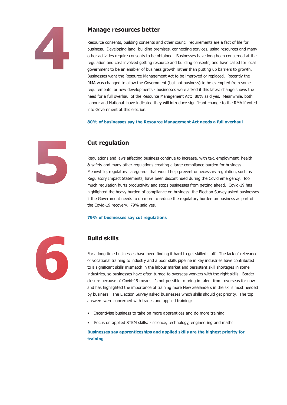

#### **Manage resources better**

Resource consents, building consents and other council requirements are a fact of life for business. Developing land, building premises, connecting services, using resources and many other activities require consents to be obtained. Businesses have long been concerned at the regulation and cost involved getting resource and building consents, and have called for local government to be an enabler of business growth rather than putting up barriers to growth. Businesses want the Resource Management Act to be improved or replaced. Recently the RMA was changed to allow the Government (but not business) to be exempted from some requirements for new developments - businesses were asked if this latest change shows the need for a full overhaul of the Resource Management Act: 80% said yes. Meanwhile, both Labour and National have indicated they will introduce significant change to the RMA if voted into Government at this election.

**80% of businesses say the Resource Management Act needs a full overhaul**



#### **Cut regulation**

Regulations and laws affecting business continue to increase, with tax, employment, health & safety and many other regulations creating a large compliance burden for business. Meanwhile, regulatory safeguards that would help prevent unnecessary regulation, such as Regulatory Impact Statements, have been discontinued during the Covid emergency. Too much regulation hurts productivity and stops businesses from getting ahead. Covid-19 has highlighted the heavy burden of compliance on business: the Election Survey asked businesses if the Government needs to do more to reduce the regulatory burden on business as part of the Covid-19 recovery. 79% said yes.

#### **79% of businesses say cut regulations**



#### **Build skills**

For a long time businesses have been finding it hard to get skilled staff. The lack of relevance of vocational training to industry and a poor skills pipeline in key industries have contributed to a significant skills mismatch in the labour market and persistent skill shortages in some industries, so businesses have often turned to overseas workers with the right skills. Border closure because of Covid-19 means it's not possible to bring in talent from overseas for now and has highlighted the importance of training more New Zealanders in the skills most needed by business. The Election Survey asked businesses which skills should get priority. The top answers were concerned with trades and applied training:

- Incentivise business to take on more apprentices and do more training
- Focus on applied STEM skills: science, technology, engineering and maths

#### **Businesses say apprenticeships and applied skills are the highest priority for training**